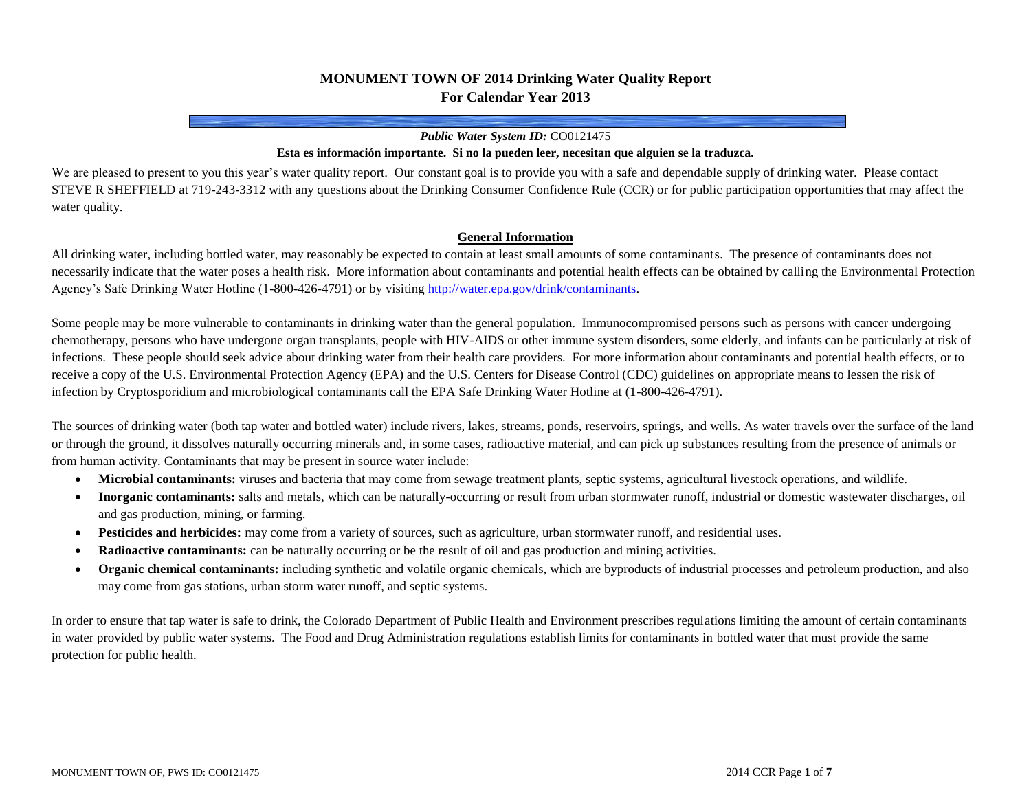# **MONUMENT TOWN OF 2014 Drinking Water Quality Report For Calendar Year 2013**

#### *Public Water System ID:* CO0121475

#### **Esta es información importante. Si no la pueden leer, necesitan que alguien se la traduzca.**

We are pleased to present to you this year's water quality report. Our constant goal is to provide you with a safe and dependable supply of drinking water. Please contact STEVE R SHEFFIELD at 719-243-3312 with any questions about the Drinking Consumer Confidence Rule (CCR) or for public participation opportunities that may affect the water quality.

#### **General Information**

All drinking water, including bottled water, may reasonably be expected to contain at least small amounts of some contaminants. The presence of contaminants does not necessarily indicate that the water poses a health risk. More information about contaminants and potential health effects can be obtained by calling the Environmental Protection Agency's Safe Drinking Water Hotline (1-800-426-4791) or by visitin[g http://water.epa.gov/drink/contaminants.](http://water.epa.gov/drink/contaminants)

Some people may be more vulnerable to contaminants in drinking water than the general population. Immunocompromised persons such as persons with cancer undergoing chemotherapy, persons who have undergone organ transplants, people with HIV-AIDS or other immune system disorders, some elderly, and infants can be particularly at risk of infections. These people should seek advice about drinking water from their health care providers. For more information about contaminants and potential health effects, or to receive a copy of the U.S. Environmental Protection Agency (EPA) and the U.S. Centers for Disease Control (CDC) guidelines on appropriate means to lessen the risk of infection by Cryptosporidium and microbiological contaminants call the EPA Safe Drinking Water Hotline at (1-800-426-4791).

The sources of drinking water (both tap water and bottled water) include rivers, lakes, streams, ponds, reservoirs, springs, and wells. As water travels over the surface of the land or through the ground, it dissolves naturally occurring minerals and, in some cases, radioactive material, and can pick up substances resulting from the presence of animals or from human activity. Contaminants that may be present in source water include:

- **Microbial contaminants:** viruses and bacteria that may come from sewage treatment plants, septic systems, agricultural livestock operations, and wildlife.
- **Inorganic contaminants:** salts and metals, which can be naturally-occurring or result from urban stormwater runoff, industrial or domestic wastewater discharges, oil and gas production, mining, or farming.
- **Pesticides and herbicides:** may come from a variety of sources, such as agriculture, urban stormwater runoff, and residential uses.
- **Radioactive contaminants:** can be naturally occurring or be the result of oil and gas production and mining activities.
- **Organic chemical contaminants:** including synthetic and volatile organic chemicals, which are byproducts of industrial processes and petroleum production, and also may come from gas stations, urban storm water runoff, and septic systems.

In order to ensure that tap water is safe to drink, the Colorado Department of Public Health and Environment prescribes regulations limiting the amount of certain contaminants in water provided by public water systems. The Food and Drug Administration regulations establish limits for contaminants in bottled water that must provide the same protection for public health.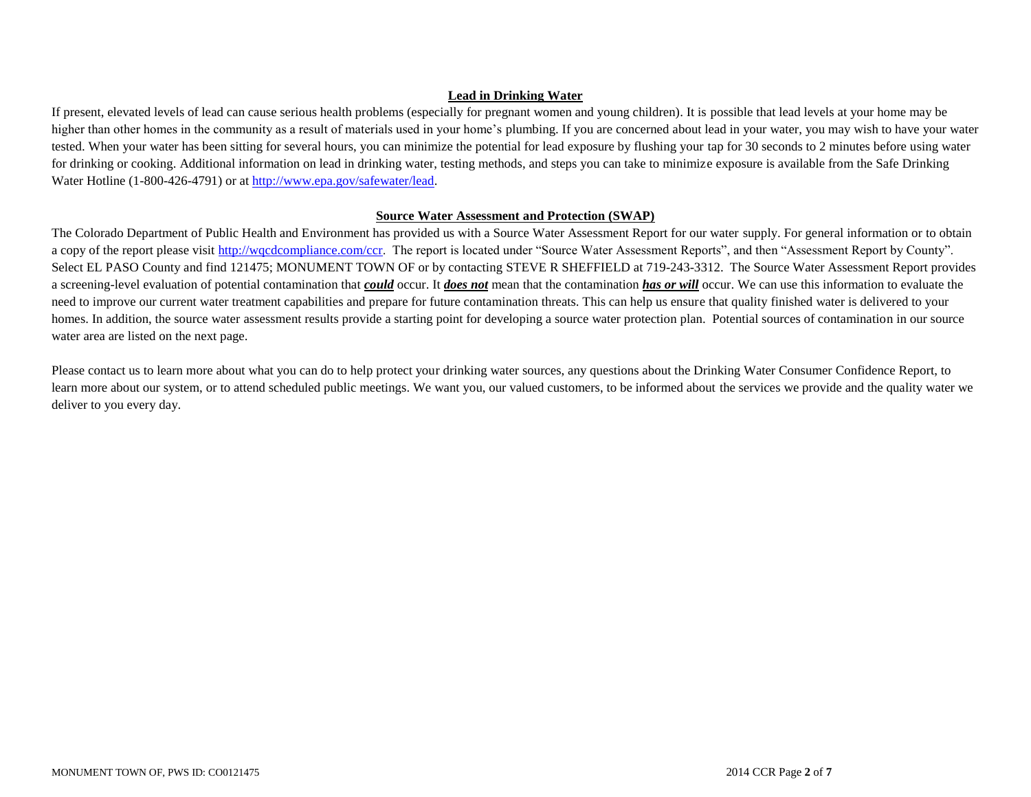# **Lead in Drinking Water**

If present, elevated levels of lead can cause serious health problems (especially for pregnant women and young children). It is possible that lead levels at your home may be higher than other homes in the community as a result of materials used in your home's plumbing. If you are concerned about lead in your water, you may wish to have your water tested. When your water has been sitting for several hours, you can minimize the potential for lead exposure by flushing your tap for 30 seconds to 2 minutes before using water for drinking or cooking. Additional information on lead in drinking water, testing methods, and steps you can take to minimize exposure is available from the Safe Drinking Water Hotline (1-800-426-4791) or a[t http://www.epa.gov/safewater/lead.](http://www.epa.gov/safewater/lead)

### **Source Water Assessment and Protection (SWAP)**

The Colorado Department of Public Health and Environment has provided us with a Source Water Assessment Report for our water supply. For general information or to obtain a copy of the report please visit [http://wqcdcompliance.com/ccr.](http://wqcdcompliance.com/ccr) The report is located under "Source Water Assessment Reports", and then "Assessment Report by County". Select EL PASO County and find 121475; MONUMENT TOWN OF or by contacting STEVE R SHEFFIELD at 719-243-3312. The Source Water Assessment Report provides a screening-level evaluation of potential contamination that *could* occur. It *does not* mean that the contamination *has or will* occur. We can use this information to evaluate the need to improve our current water treatment capabilities and prepare for future contamination threats. This can help us ensure that quality finished water is delivered to your homes. In addition, the source water assessment results provide a starting point for developing a source water protection plan. Potential sources of contamination in our source water area are listed on the next page.

Please contact us to learn more about what you can do to help protect your drinking water sources, any questions about the Drinking Water Consumer Confidence Report, to learn more about our system, or to attend scheduled public meetings. We want you, our valued customers, to be informed about the services we provide and the quality water we deliver to you every day.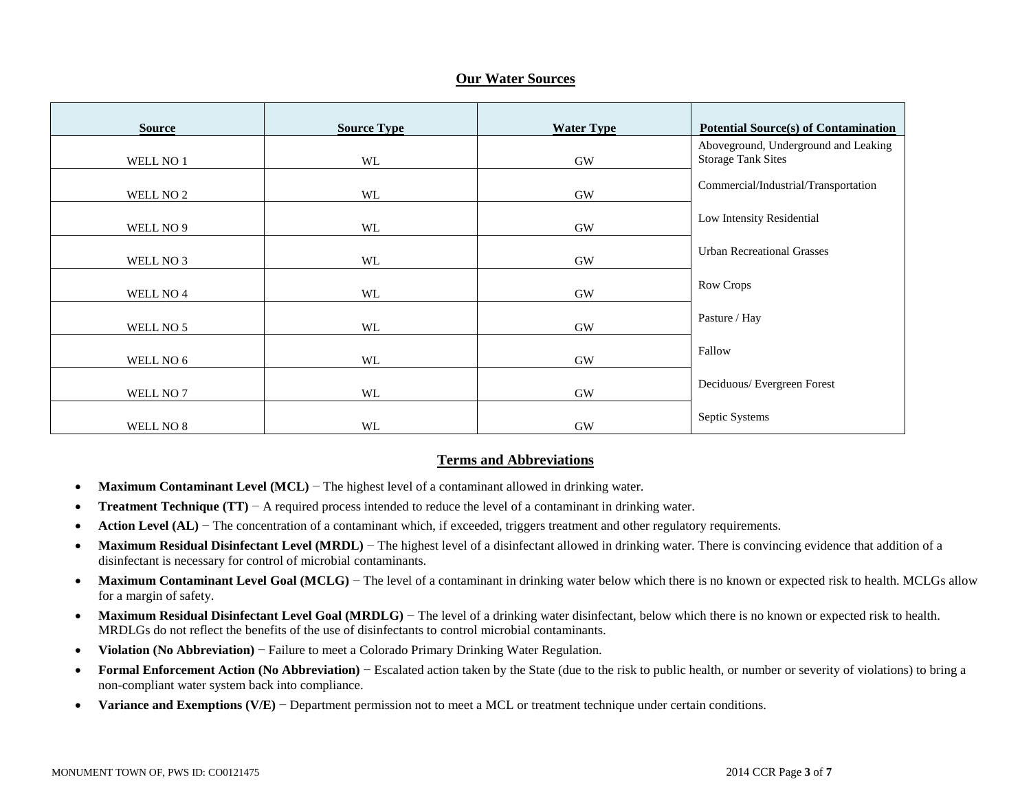### **Our Water Sources**

| <b>Source</b> | <b>Source Type</b> | <b>Water Type</b> | <b>Potential Source(s) of Contamination</b>                       |
|---------------|--------------------|-------------------|-------------------------------------------------------------------|
| WELL NO 1     | WL                 | GW                | Aboveground, Underground and Leaking<br><b>Storage Tank Sites</b> |
| WELL NO 2     | WL                 | <b>GW</b>         | Commercial/Industrial/Transportation                              |
| WELL NO 9     | <b>WL</b>          | <b>GW</b>         | Low Intensity Residential                                         |
| WELL NO 3     | WL                 | <b>GW</b>         | <b>Urban Recreational Grasses</b>                                 |
| WELL NO 4     | WL                 | <b>GW</b>         | Row Crops                                                         |
| WELL NO 5     | WL                 | <b>GW</b>         | Pasture / Hay                                                     |
| WELL NO 6     | WL                 | <b>GW</b>         | Fallow                                                            |
| WELL NO 7     | WL                 | $\rm GW$          | Deciduous/Evergreen Forest                                        |
| WELL NO 8     | WL                 | <b>GW</b>         | Septic Systems                                                    |

### **Terms and Abbreviations**

- **Maximum Contaminant Level (MCL)** − The highest level of a contaminant allowed in drinking water.
- **Treatment Technique (TT)** − A required process intended to reduce the level of a contaminant in drinking water.
- **Action Level (AL)** − The concentration of a contaminant which, if exceeded, triggers treatment and other regulatory requirements.
- Maximum Residual Disinfectant Level (MRDL) The highest level of a disinfectant allowed in drinking water. There is convincing evidence that addition of a disinfectant is necessary for control of microbial contaminants.
- Maximum Contaminant Level Goal (MCLG) The level of a contaminant in drinking water below which there is no known or expected risk to health. MCLGs allow for a margin of safety.
- **Maximum Residual Disinfectant Level Goal (MRDLG)** The level of a drinking water disinfectant, below which there is no known or expected risk to health. MRDLGs do not reflect the benefits of the use of disinfectants to control microbial contaminants.
- **Violation (No Abbreviation)** − Failure to meet a Colorado Primary Drinking Water Regulation.
- **Formal Enforcement Action (No Abbreviation)** − Escalated action taken by the State (due to the risk to public health, or number or severity of violations) to bring a non-compliant water system back into compliance.
- **Variance and Exemptions (V/E)** − Department permission not to meet a MCL or treatment technique under certain conditions.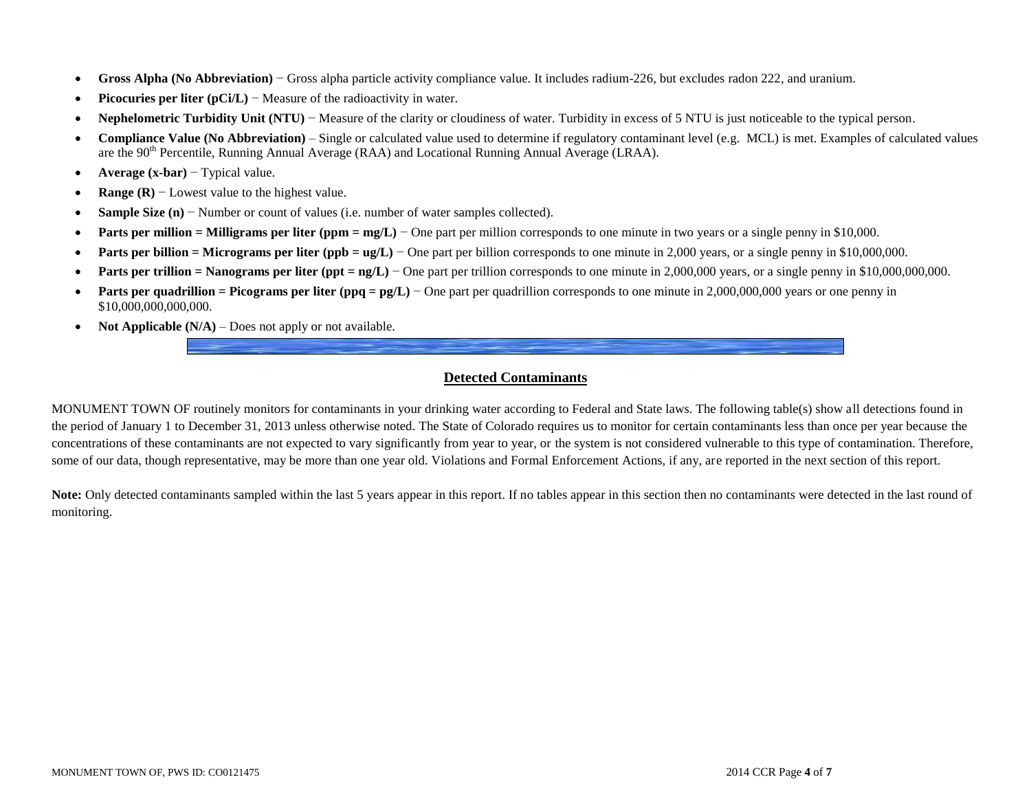- **Gross Alpha (No Abbreviation)** − Gross alpha particle activity compliance value. It includes radium-226, but excludes radon 222, and uranium.
- **Picocuries per liter (pCi/L)** − Measure of the radioactivity in water.
- **Nephelometric Turbidity Unit (NTU)** − Measure of the clarity or cloudiness of water. Turbidity in excess of 5 NTU is just noticeable to the typical person.
- **Compliance Value (No Abbreviation)** Single or calculated value used to determine if regulatory contaminant level (e.g. MCL) is met. Examples of calculated values are the 90<sup>th</sup> Percentile, Running Annual Average (RAA) and Locational Running Annual Average (LRAA).
- **Average (x-bar)** − Typical value.
- **Range (R)** − Lowest value to the highest value.
- **Sample Size (n)** − Number or count of values (i.e. number of water samples collected).
- **Parts per million = Milligrams per liter (ppm = mg/L)** One part per million corresponds to one minute in two years or a single penny in \$10,000.
- **Parts per billion = Micrograms per liter (ppb = ug/L)** − One part per billion corresponds to one minute in 2,000 years, or a single penny in \$10,000,000.
- **Parts per trillion = Nanograms per liter (ppt = ng/L)** − One part per trillion corresponds to one minute in 2,000,000 years, or a single penny in \$10,000,000,000,000.
- **Parts per quadrillion = Picograms per liter (ppq = pg/L)** − One part per quadrillion corresponds to one minute in 2,000,000,000 years or one penny in \$10,000,000,000,000.
- **Not Applicable**  $(N/A)$  Does not apply or not available.

# **Detected Contaminants**

MONUMENT TOWN OF routinely monitors for contaminants in your drinking water according to Federal and State laws. The following table(s) show all detections found in the period of January 1 to December 31, 2013 unless otherwise noted. The State of Colorado requires us to monitor for certain contaminants less than once per year because the concentrations of these contaminants are not expected to vary significantly from year to year, or the system is not considered vulnerable to this type of contamination. Therefore, some of our data, though representative, may be more than one year old. Violations and Formal Enforcement Actions, if any, are reported in the next section of this report.

Note: Only detected contaminants sampled within the last 5 years appear in this report. If no tables appear in this section then no contaminants were detected in the last round of monitoring.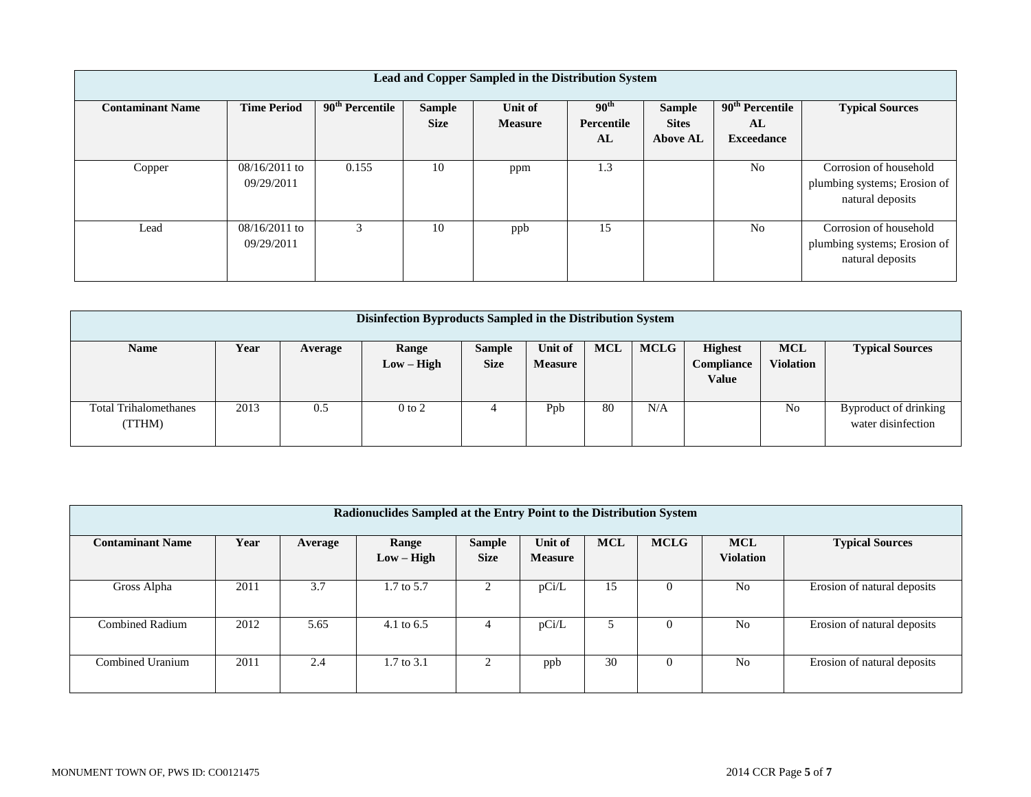| Lead and Copper Sampled in the Distribution System |                               |                             |                              |                           |                                |                               |                         |                                                                            |  |
|----------------------------------------------------|-------------------------------|-----------------------------|------------------------------|---------------------------|--------------------------------|-------------------------------|-------------------------|----------------------------------------------------------------------------|--|
| <b>Contaminant Name</b>                            | <b>Time Period</b>            | 90 <sup>th</sup> Percentile | <b>Sample</b><br><b>Size</b> | Unit of<br><b>Measure</b> | 90 <sup>th</sup><br>Percentile | <b>Sample</b><br><b>Sites</b> | $90th$ Percentile<br>AL | <b>Typical Sources</b>                                                     |  |
|                                                    |                               |                             |                              |                           | AL                             | <b>Above AL</b>               | <b>Exceedance</b>       |                                                                            |  |
| Copper                                             | $08/16/2011$ to<br>09/29/2011 | 0.155                       | 10                           | ppm                       | 1.3                            |                               | N <sub>0</sub>          | Corrosion of household<br>plumbing systems; Erosion of<br>natural deposits |  |
| Lead                                               | $08/16/2011$ to<br>09/29/2011 | 3                           | 10                           | ppb                       | 15                             |                               | N <sub>0</sub>          | Corrosion of household<br>plumbing systems; Erosion of<br>natural deposits |  |

| Disinfection Byproducts Sampled in the Distribution System |      |         |                       |                              |                           |            |             |                                              |                                |                                             |
|------------------------------------------------------------|------|---------|-----------------------|------------------------------|---------------------------|------------|-------------|----------------------------------------------|--------------------------------|---------------------------------------------|
| <b>Name</b>                                                | Year | Average | Range<br>$Low - High$ | <b>Sample</b><br><b>Size</b> | Unit of<br><b>Measure</b> | <b>MCL</b> | <b>MCLG</b> | <b>Highest</b><br><b>Compliance</b><br>Value | <b>MCL</b><br><b>Violation</b> | <b>Typical Sources</b>                      |
| <b>Total Trihalomethanes</b><br>(TTHM)                     | 2013 | 0.5     | $0$ to $2$            |                              | Ppb                       | 80         | N/A         |                                              | N <sub>0</sub>                 | Byproduct of drinking<br>water disinfection |

| Radionuclides Sampled at the Entry Point to the Distribution System |      |         |                       |                              |                           |            |             |                                |                             |  |  |
|---------------------------------------------------------------------|------|---------|-----------------------|------------------------------|---------------------------|------------|-------------|--------------------------------|-----------------------------|--|--|
| <b>Contaminant Name</b>                                             | Year | Average | Range<br>$Low - High$ | <b>Sample</b><br><b>Size</b> | Unit of<br><b>Measure</b> | <b>MCL</b> | <b>MCLG</b> | <b>MCL</b><br><b>Violation</b> | <b>Typical Sources</b>      |  |  |
| Gross Alpha                                                         | 2011 | 3.7     | 1.7 to 5.7            |                              | pCi/L                     | 15         | $\theta$    | N <sub>0</sub>                 | Erosion of natural deposits |  |  |
| <b>Combined Radium</b>                                              | 2012 | 5.65    | 4.1 to $6.5$          | 4                            | pCi/L                     |            | $\Omega$    | N <sub>0</sub>                 | Erosion of natural deposits |  |  |
| Combined Uranium                                                    | 2011 | 2.4     | 1.7 to 3.1            | ◠                            | ppb                       | 30         | $\theta$    | N <sub>0</sub>                 | Erosion of natural deposits |  |  |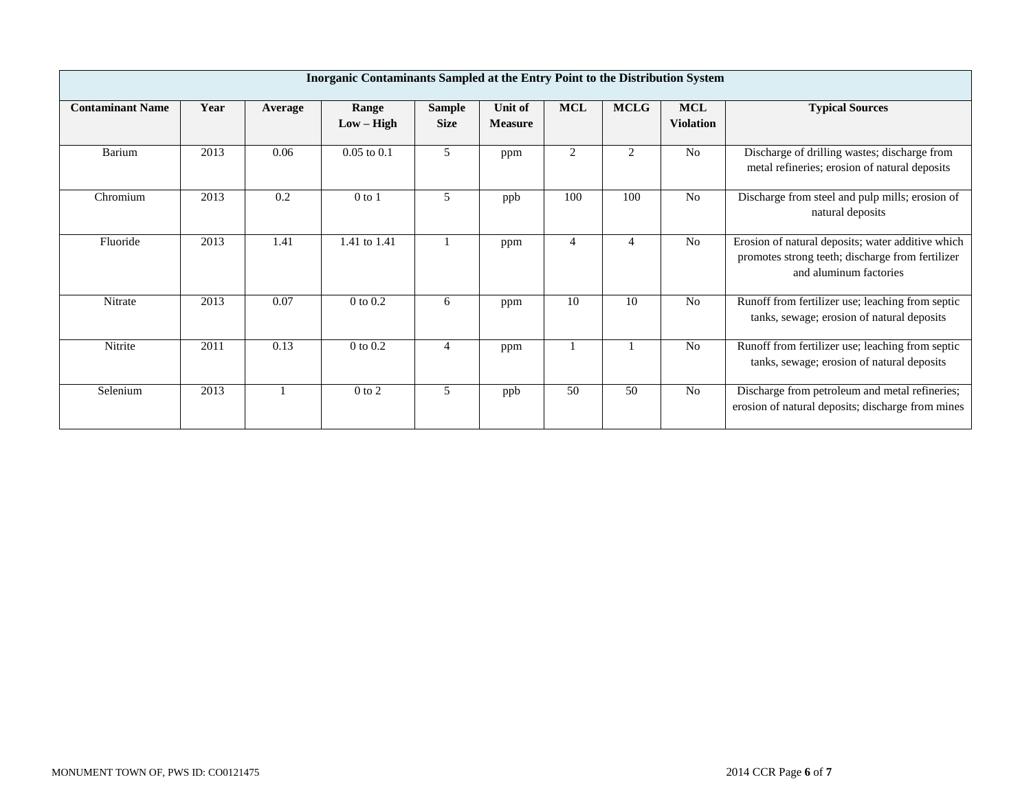| Inorganic Contaminants Sampled at the Entry Point to the Distribution System |      |         |                       |                              |                           |                |             |                                |                                                                                                                                 |  |
|------------------------------------------------------------------------------|------|---------|-----------------------|------------------------------|---------------------------|----------------|-------------|--------------------------------|---------------------------------------------------------------------------------------------------------------------------------|--|
| <b>Contaminant Name</b>                                                      | Year | Average | Range<br>$Low - High$ | <b>Sample</b><br><b>Size</b> | Unit of<br><b>Measure</b> | <b>MCL</b>     | <b>MCLG</b> | <b>MCL</b><br><b>Violation</b> | <b>Typical Sources</b>                                                                                                          |  |
| Barium                                                                       | 2013 | 0.06    | $0.05$ to $0.1$       | 5                            | ppm                       | 2              | 2           | N <sub>0</sub>                 | Discharge of drilling wastes; discharge from<br>metal refineries; erosion of natural deposits                                   |  |
| Chromium                                                                     | 2013 | 0.2     | $0$ to $1$            | 5                            | ppb                       | 100            | 100         | N <sub>o</sub>                 | Discharge from steel and pulp mills; erosion of<br>natural deposits                                                             |  |
| Fluoride                                                                     | 2013 | 1.41    | 1.41 to 1.41          |                              | ppm                       | $\overline{4}$ |             | No                             | Erosion of natural deposits; water additive which<br>promotes strong teeth; discharge from fertilizer<br>and aluminum factories |  |
| Nitrate                                                                      | 2013 | 0.07    | $0$ to $0.2$          | 6                            | ppm                       | 10             | 10          | N <sub>0</sub>                 | Runoff from fertilizer use; leaching from septic<br>tanks, sewage; erosion of natural deposits                                  |  |
| Nitrite                                                                      | 2011 | 0.13    | $0$ to $0.2$          | 4                            | ppm                       |                |             | N <sub>o</sub>                 | Runoff from fertilizer use; leaching from septic<br>tanks, sewage; erosion of natural deposits                                  |  |
| Selenium                                                                     | 2013 |         | $0$ to $2$            | 5                            | ppb                       | 50             | 50          | N <sub>o</sub>                 | Discharge from petroleum and metal refineries;<br>erosion of natural deposits; discharge from mines                             |  |